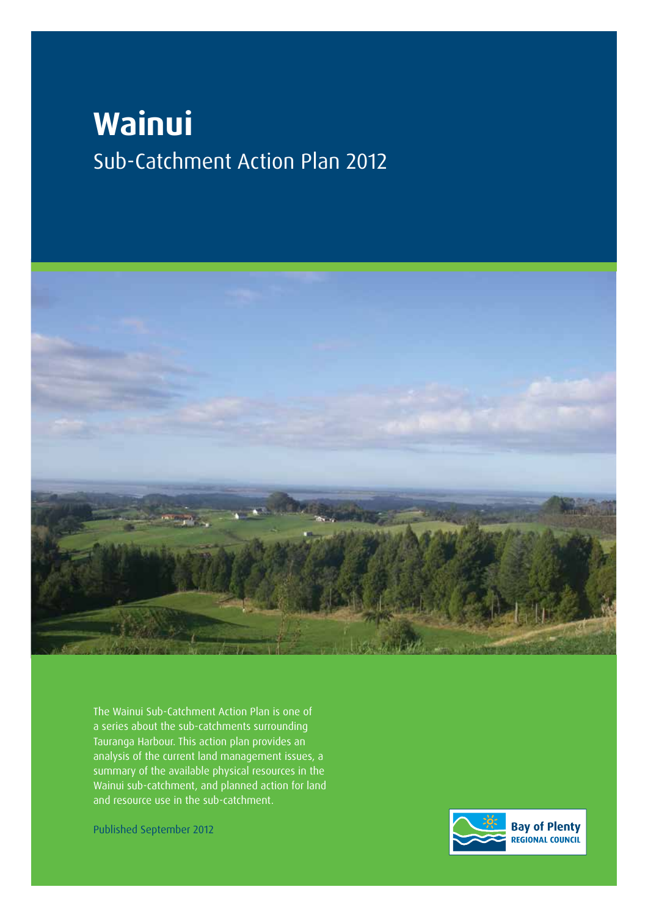# **Wainui** Sub-Catchment Action Plan 2012



The Wainui Sub-Catchment Action Plan is one of a series about the sub-catchments surrounding Tauranga Harbour. This action plan provides an analysis of the current land management issues, a summary of the available physical resources in the Wainui sub-catchment, and planned action for land and resource use in the sub-catchment.

Published September 2012

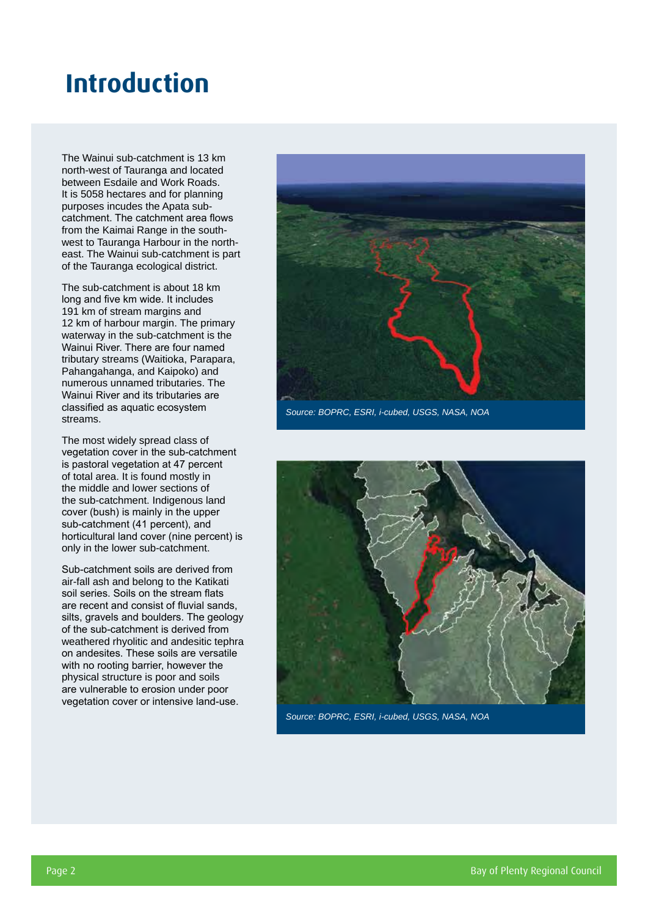## **Introduction**

The Wainui sub-catchment is 13 km north-west of Tauranga and located between Esdaile and Work Roads. It is 5058 hectares and for planning purposes incudes the Apata subcatchment. The catchment area flows from the Kaimai Range in the southwest to Tauranga Harbour in the northeast. The Wainui sub-catchment is part of the Tauranga ecological district.

The sub-catchment is about 18 km long and five km wide. It includes 191 km of stream margins and 12 km of harbour margin. The primary waterway in the sub-catchment is the Wainui River. There are four named tributary streams (Waitioka, Parapara, Pahangahanga, and Kaipoko) and numerous unnamed tributaries. The Wainui River and its tributaries are classified as aquatic ecosystem streams.

The most widely spread class of vegetation cover in the sub-catchment is pastoral vegetation at 47 percent of total area. It is found mostly in the middle and lower sections of the sub-catchment. Indigenous land cover (bush) is mainly in the upper sub-catchment (41 percent), and horticultural land cover (nine percent) is only in the lower sub-catchment.

Sub-catchment soils are derived from air-fall ash and belong to the Katikati soil series. Soils on the stream flats are recent and consist of fluvial sands, silts, gravels and boulders. The geology of the sub-catchment is derived from weathered rhyolitic and andesitic tephra on andesites. These soils are versatile with no rooting barrier, however the physical structure is poor and soils are vulnerable to erosion under poor vegetation cover or intensive land-use.



*Source: BOPRC, ESRI, i-cubed, USGS, NASA, NOA*



*Source: BOPRC, ESRI, i-cubed, USGS, NASA, NOA*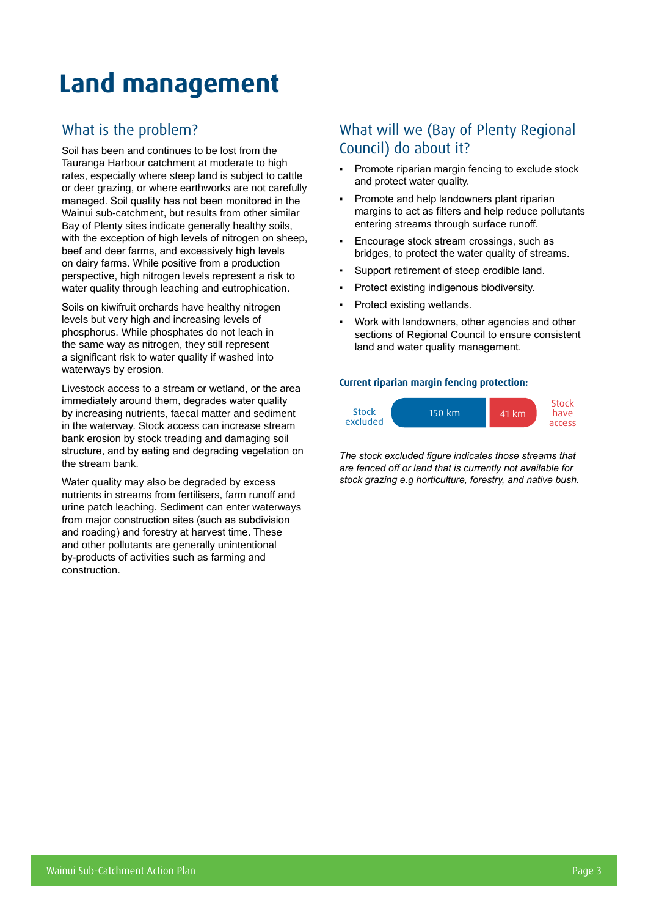# **Land management**

### What is the problem?

Soil has been and continues to be lost from the Tauranga Harbour catchment at moderate to high rates, especially where steep land is subject to cattle or deer grazing, or where earthworks are not carefully managed. Soil quality has not been monitored in the Wainui sub-catchment, but results from other similar Bay of Plenty sites indicate generally healthy soils, with the exception of high levels of nitrogen on sheep, beef and deer farms, and excessively high levels on dairy farms. While positive from a production perspective, high nitrogen levels represent a risk to water quality through leaching and eutrophication.

Soils on kiwifruit orchards have healthy nitrogen levels but very high and increasing levels of phosphorus. While phosphates do not leach in the same way as nitrogen, they still represent a significant risk to water quality if washed into waterways by erosion.

Livestock access to a stream or wetland, or the area immediately around them, degrades water quality by increasing nutrients, faecal matter and sediment in the waterway. Stock access can increase stream bank erosion by stock treading and damaging soil structure, and by eating and degrading vegetation on the stream bank.

Water quality may also be degraded by excess nutrients in streams from fertilisers, farm runoff and urine patch leaching. Sediment can enter waterways from major construction sites (such as subdivision and roading) and forestry at harvest time. These and other pollutants are generally unintentional by-products of activities such as farming and construction.

### What will we (Bay of Plenty Regional Council) do about it?

- Promote riparian margin fencing to exclude stock and protect water quality.
- Promote and help landowners plant riparian margins to act as filters and help reduce pollutants entering streams through surface runoff.
- Encourage stock stream crossings, such as bridges, to protect the water quality of streams.
- Support retirement of steep erodible land.
- Protect existing indigenous biodiversity.
- Protect existing wetlands.
- Work with landowners, other agencies and other sections of Regional Council to ensure consistent land and water quality management.

#### **Current riparian margin fencing protection:**



*The stock excluded figure indicates those streams that are fenced off or land that is currently not available for stock grazing e.g horticulture, forestry, and native bush.*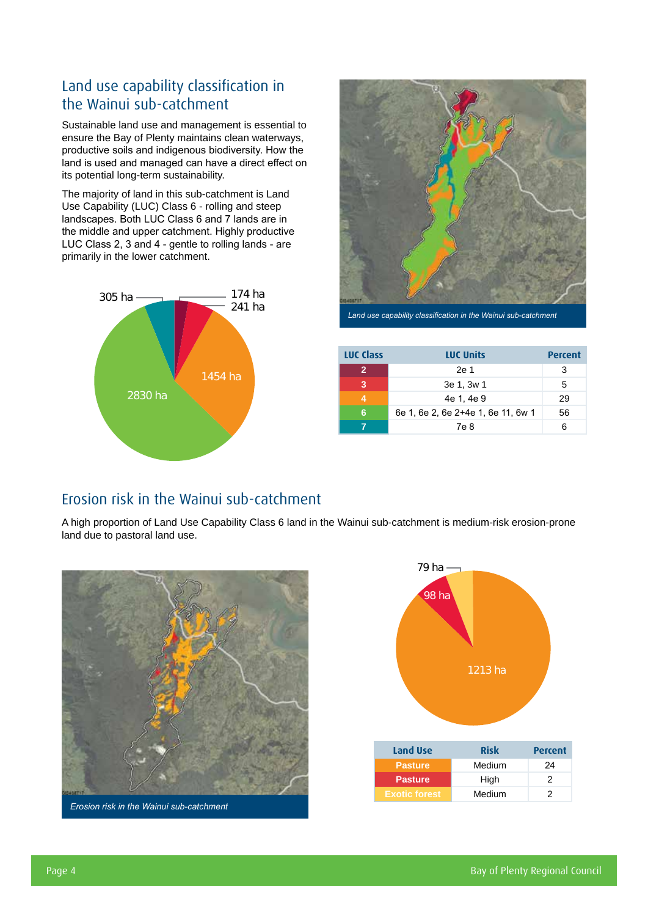### Land use capability classification in the Wainui sub-catchment

Sustainable land use and management is essential to ensure the Bay of Plenty maintains clean waterways, productive soils and indigenous biodiversity. How the land is used and managed can have a direct effect on its potential long-term sustainability.

The majority of land in this sub-catchment is Land Use Capability (LUC) Class 6 - rolling and steep landscapes. Both LUC Class 6 and 7 lands are in the middle and upper catchment. Highly productive LUC Class 2, 3 and 4 - gentle to rolling lands - are primarily in the lower catchment.





*Land use capability classification in the Wainui sub-catchment*

| LUC Class | <b>LUC Units</b>                   | <b>Percent</b> |
|-----------|------------------------------------|----------------|
|           | 2e 1                               | 3              |
| 3         | 3e 1, 3w 1                         | 5              |
|           | 4e 1, 4e 9                         | 29             |
| 6         | 6e 1, 6e 2, 6e 2+4e 1, 6e 11, 6w 1 | 56             |
|           | 7e 8                               | ี              |

### Erosion risk in the Wainui sub-catchment

A high proportion of Land Use Capability Class 6 land in the Wainui sub-catchment is medium-risk erosion-prone land due to pastoral land use.





**Exotic forest** Medium 2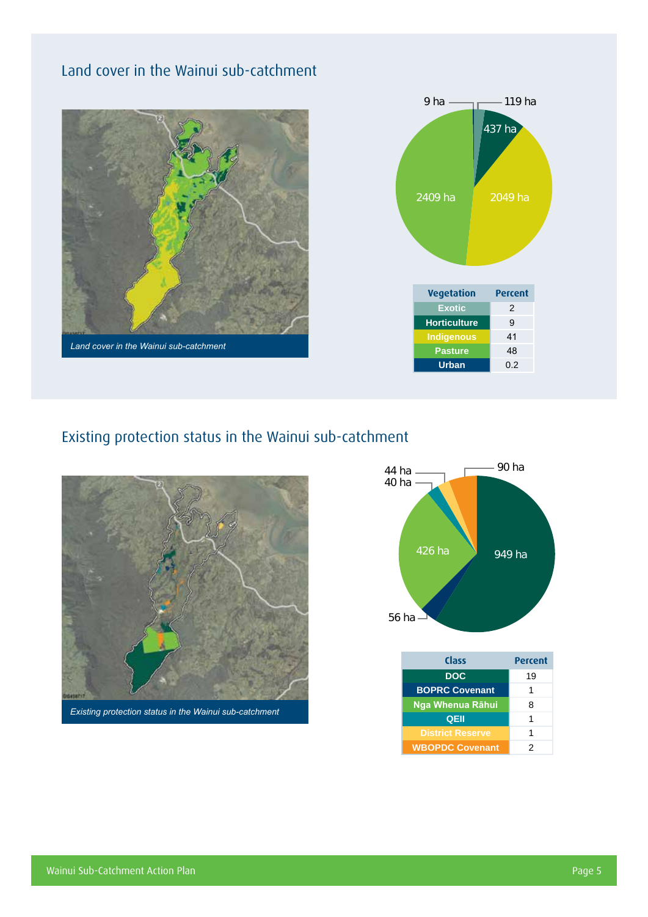## Land cover in the Wainui sub-catchment





## Existing protection status in the Wainui sub-catchment



*Existing protection status in the Wainui sub-catchment*



| Class                   | <b>Percent</b> |  |  |  |
|-------------------------|----------------|--|--|--|
| <b>DOC</b>              | 19             |  |  |  |
| <b>BOPRC Covenant</b>   | 1              |  |  |  |
| Nga Whenua Rāhui        | 8              |  |  |  |
| QEII                    | 1              |  |  |  |
| <b>District Reserve</b> | 1              |  |  |  |
| <b>WBOPDC Covenant</b>  | 2              |  |  |  |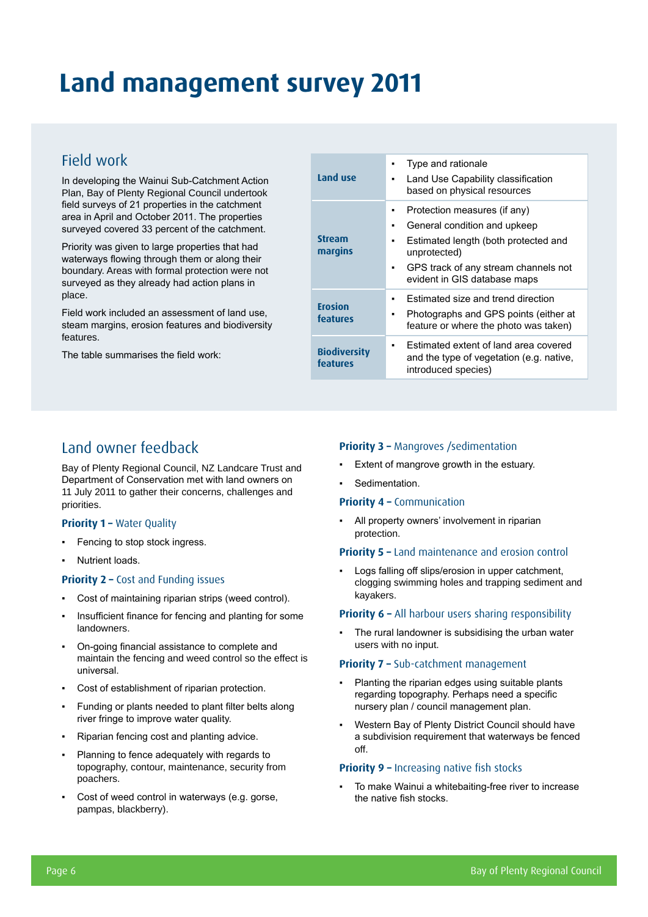## **Land management survey 2011**

### Field work

In developing the Wainui Sub-Catchment Action Plan, Bay of Plenty Regional Council undertook field surveys of 21 properties in the catchment area in April and October 2011. The properties surveyed covered 33 percent of the catchment.

Priority was given to large properties that had waterways flowing through them or along their boundary. Areas with formal protection were not surveyed as they already had action plans in place.

Field work included an assessment of land use, steam margins, erosion features and biodiversity features.

The table summarises the field work:

| Land use                        | Type and rationale<br>Land Use Capability classification<br>based on physical resources                                                                                                                |
|---------------------------------|--------------------------------------------------------------------------------------------------------------------------------------------------------------------------------------------------------|
| <b>Stream</b><br>margins        | Protection measures (if any)<br>٠<br>General condition and upkeep<br>٠<br>Estimated length (both protected and<br>unprotected)<br>GPS track of any stream channels not<br>evident in GIS database maps |
| <b>Erosion</b><br>features      | Estimated size and trend direction<br>Photographs and GPS points (either at<br>feature or where the photo was taken)                                                                                   |
| <b>Biodiversity</b><br>features | Estimated extent of land area covered<br>and the type of vegetation (e.g. native,<br>introduced species)                                                                                               |

### Land owner feedback

Bay of Plenty Regional Council, NZ Landcare Trust and Department of Conservation met with land owners on 11 July 2011 to gather their concerns, challenges and priorities.

#### **Priority 1 - Water Quality**

- Fencing to stop stock ingress.
- Nutrient loads.

#### **Priority 2 – Cost and Funding issues**

- Cost of maintaining riparian strips (weed control).
- Insufficient finance for fencing and planting for some landowners.
- On-going financial assistance to complete and maintain the fencing and weed control so the effect is universal.
- Cost of establishment of riparian protection.
- Funding or plants needed to plant filter belts along river fringe to improve water quality.
- Riparian fencing cost and planting advice.
- Planning to fence adequately with regards to topography, contour, maintenance, security from poachers.
- Cost of weed control in waterways (e.g. gorse, pampas, blackberry).

#### **Priority 3 - Mangroves /sedimentation**

- Extent of mangrove growth in the estuary.
- Sedimentation.

#### **Priority 4 –** Communication

▪ All property owners' involvement in riparian protection.

#### **Priority 5 –** Land maintenance and erosion control

▪ Logs falling off slips/erosion in upper catchment, clogging swimming holes and trapping sediment and kayakers.

#### **Priority 6 – All harbour users sharing responsibility**

The rural landowner is subsidising the urban water users with no input.

#### **Priority 7 –** Sub-catchment management

- Planting the riparian edges using suitable plants regarding topography. Perhaps need a specific nursery plan / council management plan.
- Western Bay of Plenty District Council should have a subdivision requirement that waterways be fenced off.

#### **Priority 9 - Increasing native fish stocks**

To make Wainui a whitebaiting-free river to increase the native fish stocks.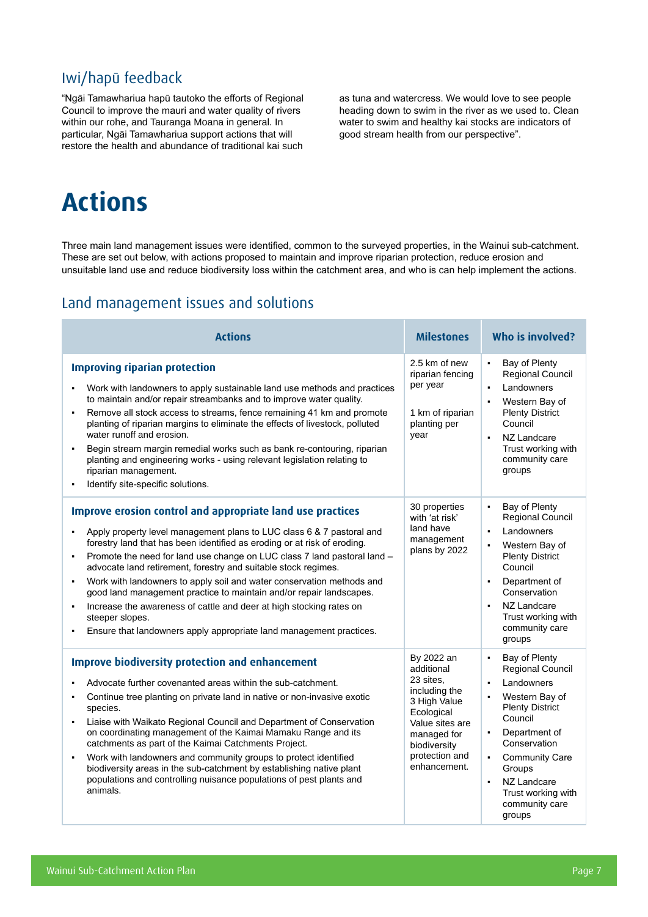## Iwi/hapū feedback

"Ngāi Tamawhariua hapū tautoko the efforts of Regional Council to improve the mauri and water quality of rivers within our rohe, and Tauranga Moana in general. In particular, Ngāi Tamawhariua support actions that will restore the health and abundance of traditional kai such

as tuna and watercress. We would love to see people heading down to swim in the river as we used to. Clean water to swim and healthy kai stocks are indicators of good stream health from our perspective".

## **Actions**

Three main land management issues were identified, common to the surveyed properties, in the Wainui sub-catchment. These are set out below, with actions proposed to maintain and improve riparian protection, reduce erosion and unsuitable land use and reduce biodiversity loss within the catchment area, and who is can help implement the actions.

### Land management issues and solutions

| <b>Actions</b>                                                                                                                                                                                                                                                                                                                                                                                                                                                                                                                                                                                                                                                                                                    | <b>Milestones</b>                                                                                                                                                        | <b>Who is involved?</b>                                                                                                                                                                                                                                                                                             |  |  |
|-------------------------------------------------------------------------------------------------------------------------------------------------------------------------------------------------------------------------------------------------------------------------------------------------------------------------------------------------------------------------------------------------------------------------------------------------------------------------------------------------------------------------------------------------------------------------------------------------------------------------------------------------------------------------------------------------------------------|--------------------------------------------------------------------------------------------------------------------------------------------------------------------------|---------------------------------------------------------------------------------------------------------------------------------------------------------------------------------------------------------------------------------------------------------------------------------------------------------------------|--|--|
| <b>Improving riparian protection</b><br>Work with landowners to apply sustainable land use methods and practices<br>to maintain and/or repair streambanks and to improve water quality.<br>Remove all stock access to streams, fence remaining 41 km and promote<br>×,<br>planting of riparian margins to eliminate the effects of livestock, polluted<br>water runoff and erosion.<br>Begin stream margin remedial works such as bank re-contouring, riparian<br>planting and engineering works - using relevant legislation relating to<br>riparian management.<br>Identify site-specific solutions.<br>$\blacksquare$                                                                                          | 2.5 km of new<br>riparian fencing<br>per year<br>1 km of riparian<br>planting per<br>year                                                                                | Bay of Plenty<br>$\blacksquare$<br>Regional Council<br>Landowners<br>Western Bay of<br><b>Plenty District</b><br>Council<br>NZ Landcare<br>$\blacksquare$<br>Trust working with<br>community care<br>groups                                                                                                         |  |  |
| <b>Improve erosion control and appropriate land use practices</b><br>Apply property level management plans to LUC class 6 & 7 pastoral and<br>forestry land that has been identified as eroding or at risk of eroding.<br>Promote the need for land use change on LUC class 7 land pastoral land -<br>$\blacksquare$<br>advocate land retirement, forestry and suitable stock regimes.<br>Work with landowners to apply soil and water conservation methods and<br>good land management practice to maintain and/or repair landscapes.<br>Increase the awareness of cattle and deer at high stocking rates on<br>٠<br>steeper slopes.<br>Ensure that landowners apply appropriate land management practices.<br>٠ | 30 properties<br>with 'at risk'<br>land have<br>management<br>plans by 2022                                                                                              | Bay of Plenty<br>$\blacksquare$<br>Regional Council<br>Landowners<br>$\blacksquare$<br>Western Bay of<br>$\blacksquare$<br><b>Plenty District</b><br>Council<br>Department of<br>Conservation<br>NZ Landcare<br>Trust working with<br>community care<br>groups                                                      |  |  |
| <b>Improve biodiversity protection and enhancement</b><br>Advocate further covenanted areas within the sub-catchment.<br>Continue tree planting on private land in native or non-invasive exotic<br>species.<br>Liaise with Waikato Regional Council and Department of Conservation<br>٠<br>on coordinating management of the Kaimai Mamaku Range and its<br>catchments as part of the Kaimai Catchments Project.<br>Work with landowners and community groups to protect identified<br>$\blacksquare$<br>biodiversity areas in the sub-catchment by establishing native plant<br>populations and controlling nuisance populations of pest plants and<br>animals.                                                 | By 2022 an<br>additional<br>23 sites.<br>including the<br>3 High Value<br>Ecological<br>Value sites are<br>managed for<br>biodiversity<br>protection and<br>enhancement. | Bay of Plenty<br>$\blacksquare$<br>Regional Council<br>Landowners<br>Western Bay of<br><b>Plenty District</b><br>Council<br>Department of<br>$\blacksquare$<br>Conservation<br><b>Community Care</b><br>$\blacksquare$<br>Groups<br>NZ Landcare<br>$\blacksquare$<br>Trust working with<br>community care<br>groups |  |  |